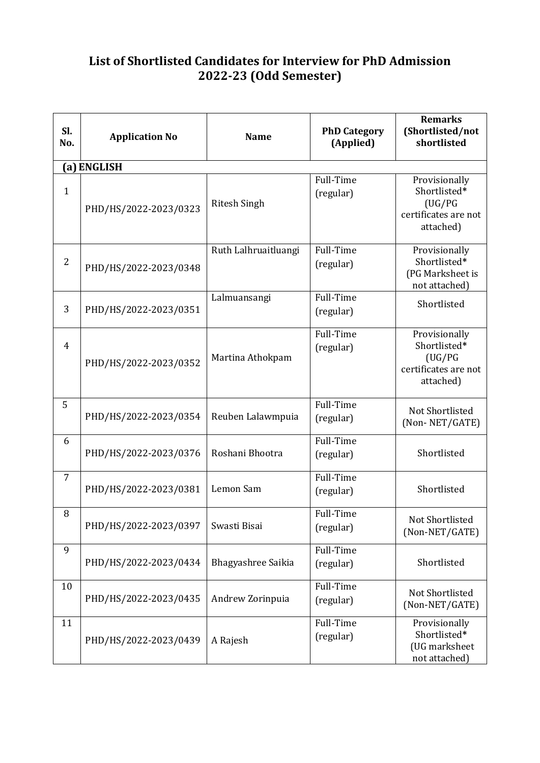## **List of Shortlisted Candidates for Interview for PhD Admission 2022-23 (Odd Semester)**

| Sl.<br>No.     | <b>Application No</b> | <b>Name</b>          | <b>PhD Category</b><br>(Applied) | <b>Remarks</b><br>(Shortlisted/not<br>shortlisted                             |
|----------------|-----------------------|----------------------|----------------------------------|-------------------------------------------------------------------------------|
|                | (a) ENGLISH           |                      |                                  |                                                                               |
| $\mathbf{1}$   | PHD/HS/2022-2023/0323 | <b>Ritesh Singh</b>  | Full-Time<br>(regular)           | Provisionally<br>Shortlisted*<br>(UG/PG)<br>certificates are not<br>attached) |
| $\overline{2}$ | PHD/HS/2022-2023/0348 | Ruth Lalhruaitluangi | Full-Time<br>(regular)           | Provisionally<br>Shortlisted*<br>(PG Marksheet is<br>not attached)            |
| 3              | PHD/HS/2022-2023/0351 | Lalmuansangi         | Full-Time<br>(regular)           | Shortlisted                                                                   |
| $\overline{4}$ | PHD/HS/2022-2023/0352 | Martina Athokpam     | Full-Time<br>(regular)           | Provisionally<br>Shortlisted*<br>(UG/PG)<br>certificates are not<br>attached) |
| 5              | PHD/HS/2022-2023/0354 | Reuben Lalawmpuia    | Full-Time<br>(regular)           | Not Shortlisted<br>(Non-NET/GATE)                                             |
| 6              | PHD/HS/2022-2023/0376 | Roshani Bhootra      | Full-Time<br>(regular)           | Shortlisted                                                                   |
| $\overline{7}$ | PHD/HS/2022-2023/0381 | Lemon Sam            | Full-Time<br>(regular)           | Shortlisted                                                                   |
| 8              | PHD/HS/2022-2023/0397 | Swasti Bisai         | Full-Time<br>(regular)           | Not Shortlisted<br>(Non-NET/GATE)                                             |
| 9              | PHD/HS/2022-2023/0434 | Bhagyashree Saikia   | Full-Time<br>(regular)           | Shortlisted                                                                   |
| 10             | PHD/HS/2022-2023/0435 | Andrew Zorinpuia     | Full-Time<br>(regular)           | Not Shortlisted<br>(Non-NET/GATE)                                             |
| 11             | PHD/HS/2022-2023/0439 | A Rajesh             | Full-Time<br>(regular)           | Provisionally<br>Shortlisted*<br>(UG marksheet<br>not attached)               |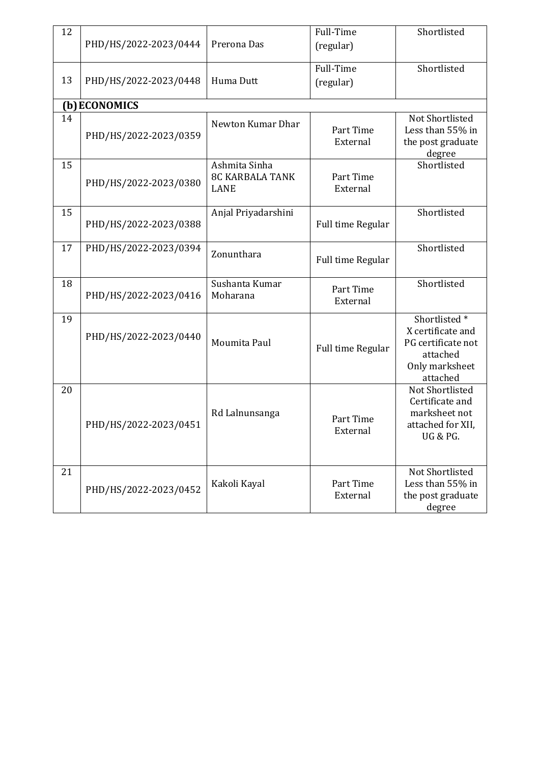| 12 | PHD/HS/2022-2023/0444 | Prerona Das                                            | Full-Time<br>(regular) | Shortlisted                                                                                                   |
|----|-----------------------|--------------------------------------------------------|------------------------|---------------------------------------------------------------------------------------------------------------|
| 13 | PHD/HS/2022-2023/0448 | Huma Dutt                                              | Full-Time<br>(regular) | Shortlisted                                                                                                   |
|    | (b) ECONOMICS         |                                                        |                        |                                                                                                               |
| 14 | PHD/HS/2022-2023/0359 | Newton Kumar Dhar                                      | Part Time<br>External  | Not Shortlisted<br>Less than 55% in<br>the post graduate<br>degree                                            |
| 15 | PHD/HS/2022-2023/0380 | Ashmita Sinha<br><b>8C KARBALA TANK</b><br><b>LANE</b> | Part Time<br>External  | Shortlisted                                                                                                   |
| 15 | PHD/HS/2022-2023/0388 | Anjal Priyadarshini                                    | Full time Regular      | Shortlisted                                                                                                   |
| 17 | PHD/HS/2022-2023/0394 | Zonunthara                                             | Full time Regular      | Shortlisted                                                                                                   |
| 18 | PHD/HS/2022-2023/0416 | Sushanta Kumar<br>Moharana                             | Part Time<br>External  | Shortlisted                                                                                                   |
| 19 | PHD/HS/2022-2023/0440 | Moumita Paul                                           | Full time Regular      | Shortlisted <sup>*</sup><br>X certificate and<br>PG certificate not<br>attached<br>Only marksheet<br>attached |
| 20 | PHD/HS/2022-2023/0451 | Rd Lalnunsanga                                         | Part Time<br>External  | Not Shortlisted<br>Certificate and<br>marksheet not<br>attached for XII,<br><b>UG &amp; PG.</b>               |
| 21 | PHD/HS/2022-2023/0452 | Kakoli Kayal                                           | Part Time<br>External  | Not Shortlisted<br>Less than 55% in<br>the post graduate<br>degree                                            |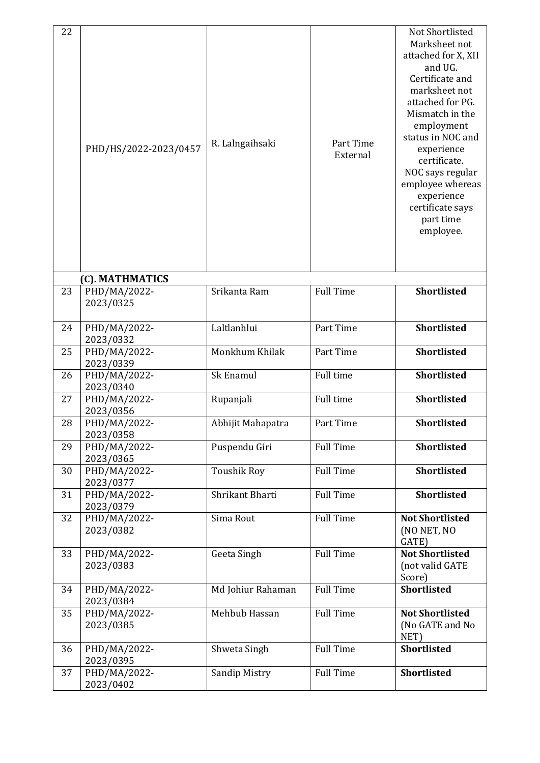| 22 | PHD/HS/2022-2023/0457     | R. Lalngaihsaki      | Part Time<br>External | Not Shortlisted<br>Marksheet not<br>attached for X, XII<br>and UG.<br>Certificate and<br>marksheet not<br>attached for PG.<br>Mismatch in the<br>employment<br>status in NOC and<br>experience<br>certificate.<br>NOC says regular<br>employee whereas<br>experience<br>certificate says<br>part time<br>employee. |
|----|---------------------------|----------------------|-----------------------|--------------------------------------------------------------------------------------------------------------------------------------------------------------------------------------------------------------------------------------------------------------------------------------------------------------------|
|    | (C). MATHMATICS           |                      |                       |                                                                                                                                                                                                                                                                                                                    |
| 23 | PHD/MA/2022-<br>2023/0325 | Srikanta Ram         | <b>Full Time</b>      | <b>Shortlisted</b>                                                                                                                                                                                                                                                                                                 |
| 24 | PHD/MA/2022-<br>2023/0332 | Laltlanhlui          | Part Time             | <b>Shortlisted</b>                                                                                                                                                                                                                                                                                                 |
| 25 | PHD/MA/2022-<br>2023/0339 | Monkhum Khilak       | Part Time             | <b>Shortlisted</b>                                                                                                                                                                                                                                                                                                 |
| 26 | PHD/MA/2022-<br>2023/0340 | Sk Enamul            | Full time             | <b>Shortlisted</b>                                                                                                                                                                                                                                                                                                 |
| 27 | PHD/MA/2022-<br>2023/0356 | Rupanjali            | Full time             | <b>Shortlisted</b>                                                                                                                                                                                                                                                                                                 |
| 28 | PHD/MA/2022-<br>2023/0358 | Abhijit Mahapatra    | Part Time             | <b>Shortlisted</b>                                                                                                                                                                                                                                                                                                 |
| 29 | PHD/MA/2022-<br>2023/0365 | Puspendu Giri        | <b>Full Time</b>      | <b>Shortlisted</b>                                                                                                                                                                                                                                                                                                 |
| 30 | PHD/MA/2022-<br>2023/0377 | <b>Toushik Roy</b>   | <b>Full Time</b>      | <b>Shortlisted</b>                                                                                                                                                                                                                                                                                                 |
| 31 | PHD/MA/2022-<br>2023/0379 | Shrikant Bharti      | <b>Full Time</b>      | Shortlisted                                                                                                                                                                                                                                                                                                        |
| 32 | PHD/MA/2022-<br>2023/0382 | Sima Rout            | <b>Full Time</b>      | <b>Not Shortlisted</b><br>(NO NET, NO<br>GATE)                                                                                                                                                                                                                                                                     |
| 33 | PHD/MA/2022-<br>2023/0383 | Geeta Singh          | <b>Full Time</b>      | <b>Not Shortlisted</b><br>(not valid GATE<br>Score)                                                                                                                                                                                                                                                                |
| 34 | PHD/MA/2022-<br>2023/0384 | Md Johiur Rahaman    | <b>Full Time</b>      | <b>Shortlisted</b>                                                                                                                                                                                                                                                                                                 |
| 35 | PHD/MA/2022-<br>2023/0385 | Mehbub Hassan        | <b>Full Time</b>      | <b>Not Shortlisted</b><br>(No GATE and No<br>NET)                                                                                                                                                                                                                                                                  |
| 36 | PHD/MA/2022-<br>2023/0395 | Shweta Singh         | <b>Full Time</b>      | <b>Shortlisted</b>                                                                                                                                                                                                                                                                                                 |
| 37 | PHD/MA/2022-<br>2023/0402 | <b>Sandip Mistry</b> | <b>Full Time</b>      | <b>Shortlisted</b>                                                                                                                                                                                                                                                                                                 |